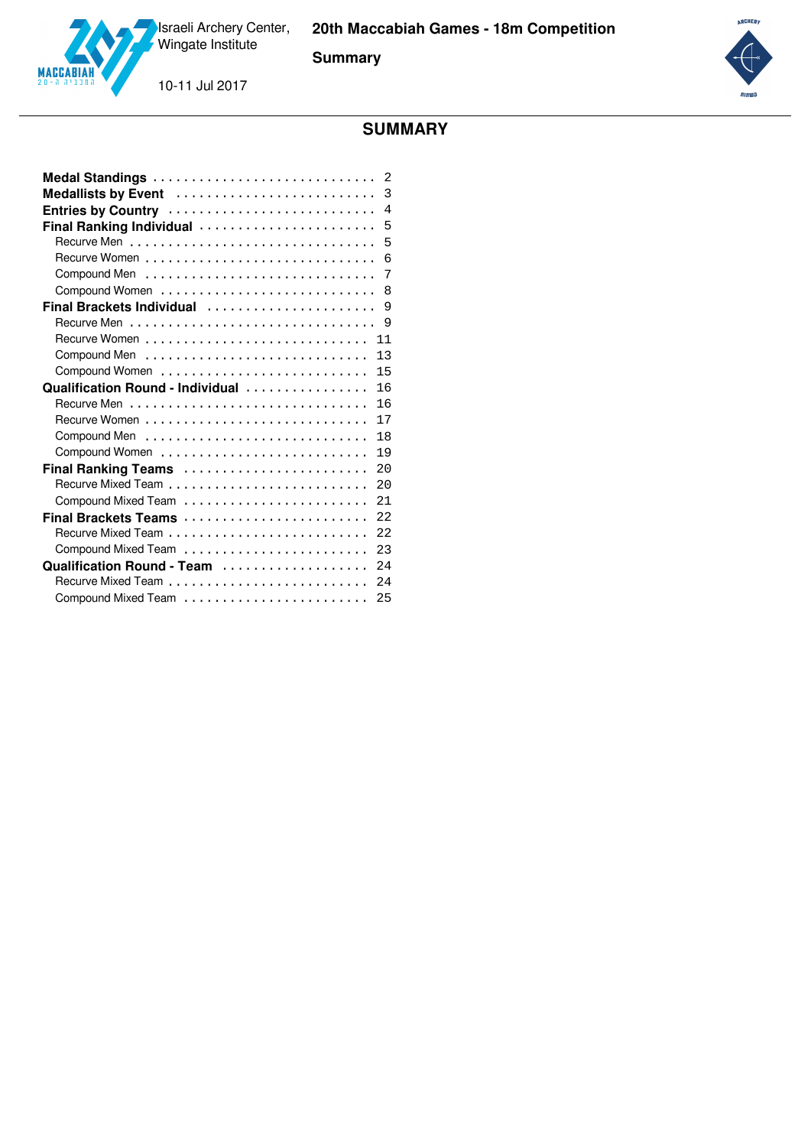10-11 Jul 2017

**SUMMARY**

| $\overline{2}$                         |
|----------------------------------------|
| 3<br>Medallists by Event               |
| Entries by Country<br>$\overline{4}$   |
| Final Ranking Individual<br>5          |
| 5                                      |
| 6                                      |
| 7                                      |
| 8                                      |
| Final Brackets Individual<br>9         |
| 9                                      |
| 11                                     |
| 13                                     |
| Compound Women<br>15                   |
| Qualification Round - Individual<br>16 |
| 16                                     |
| 17                                     |
| 18                                     |
| 19                                     |
| Final Ranking Teams<br>2.0             |
| 2.0                                    |
| 21                                     |
| 2.2<br>Final Brackets Teams            |
| 22                                     |
| 23                                     |
| 2.4<br>Qualification Round - Team      |
| 24                                     |
| 25                                     |



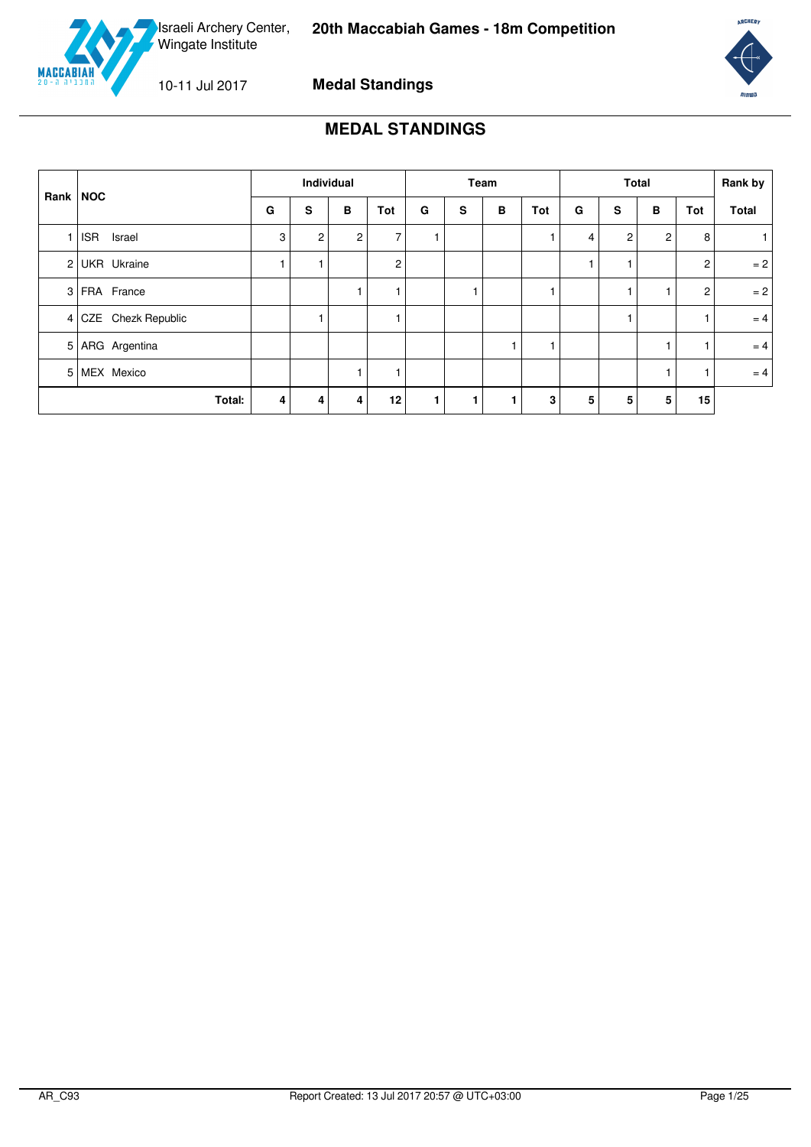<span id="page-1-0"></span>

10-11 Jul 2017 **Medal Standings**



# **MEDAL STANDINGS**

|                | Rank NOC             |   | Individual     |                |     | Team |   |   | <b>Total</b> |   |                |              | Rank by               |       |
|----------------|----------------------|---|----------------|----------------|-----|------|---|---|--------------|---|----------------|--------------|-----------------------|-------|
|                |                      | G | s              | B              | Tot | G    | S | B | Tot          | G | s              | в            | Tot                   | Total |
|                | <b>ISR</b><br>Israel | 3 | $\overline{c}$ | $\overline{c}$ |     |      |   |   |              | 4 | $\overline{2}$ | $\mathbf{2}$ | 8                     |       |
| 2              | <b>UKR</b> Ukraine   |   |                |                | 2   |      |   |   |              |   |                |              | 2                     | $= 2$ |
| 3              | FRA France           |   |                |                |     |      |   |   |              |   |                |              | $\mathbf{2}^{\prime}$ | $= 2$ |
|                | 4 CZE Chezk Republic |   |                |                |     |      |   |   |              |   |                |              |                       | $= 4$ |
| 5 <sub>l</sub> | ARG Argentina        |   |                |                |     |      |   |   |              |   |                |              |                       | $= 4$ |
| 5 <sub>1</sub> | MEX Mexico           |   |                |                |     |      |   |   |              |   |                |              |                       | $= 4$ |
|                | Total:               | 4 | 4              | 4              | 12  |      | 1 |   | 3            | 5 | 5              | 5            | 15                    |       |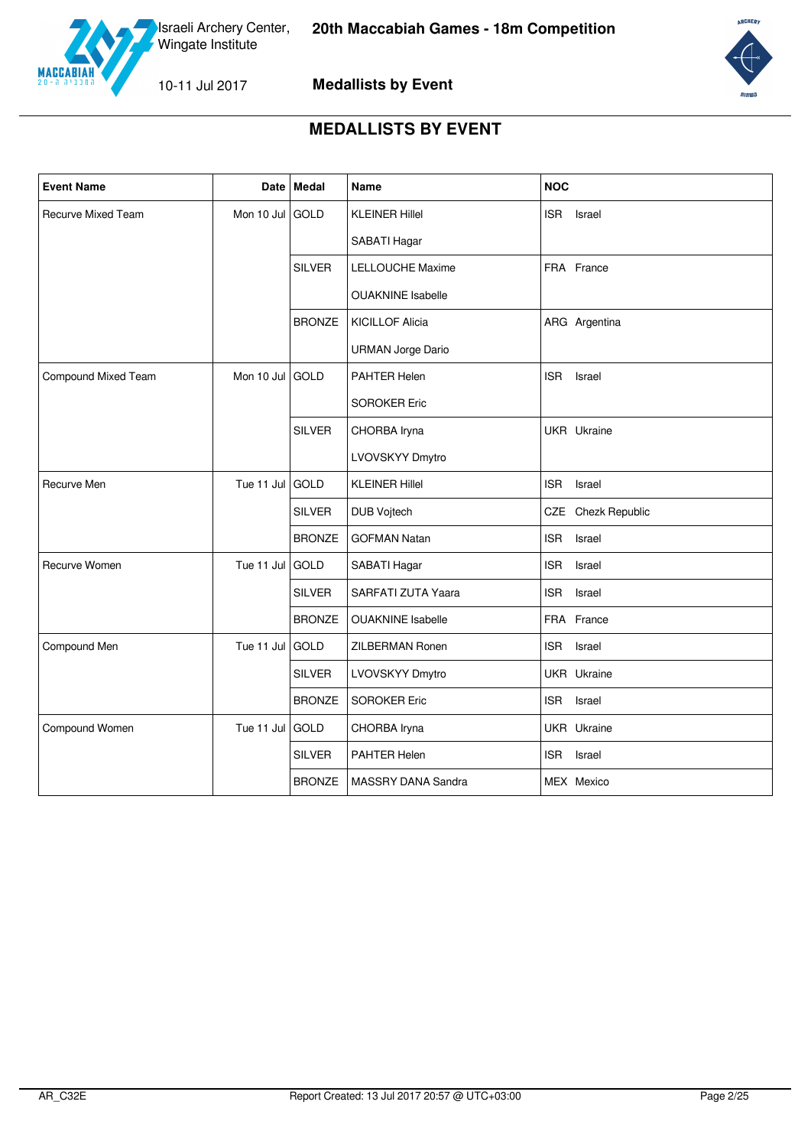



# **MEDALLISTS BY EVENT**

<span id="page-2-0"></span>

| <b>Event Name</b>   |            | Date   Medal  | <b>Name</b>              | <b>NOC</b>           |
|---------------------|------------|---------------|--------------------------|----------------------|
| Recurve Mixed Team  | Mon 10 Jul | GOLD          | <b>KLEINER Hillel</b>    | <b>ISR</b><br>Israel |
|                     |            |               | SABATI Hagar             |                      |
|                     |            | <b>SILVER</b> | <b>LELLOUCHE Maxime</b>  | FRA France           |
|                     |            |               | <b>OUAKNINE</b> Isabelle |                      |
|                     |            | <b>BRONZE</b> | <b>KICILLOF Alicia</b>   | ARG Argentina        |
|                     |            |               | <b>URMAN Jorge Dario</b> |                      |
| Compound Mixed Team | Mon 10 Jul | GOLD          | PAHTER Helen             | <b>ISR</b><br>Israel |
|                     |            |               | <b>SOROKER Eric</b>      |                      |
|                     |            | <b>SILVER</b> | CHORBA Iryna             | UKR Ukraine          |
|                     |            |               | LVOVSKYY Dmytro          |                      |
| Recurve Men         | Tue 11 Jul | GOLD          | <b>KLEINER Hillel</b>    | <b>ISR</b><br>Israel |
|                     |            | <b>SILVER</b> | DUB Vojtech              | CZE Chezk Republic   |
|                     |            | <b>BRONZE</b> | <b>GOFMAN Natan</b>      | <b>ISR</b><br>Israel |
| Recurve Women       | Tue 11 Jul | GOLD          | SABATI Hagar             | <b>ISR</b><br>Israel |
|                     |            | <b>SILVER</b> | SARFATI ZUTA Yaara       | <b>ISR</b><br>Israel |
|                     |            | <b>BRONZE</b> | <b>OUAKNINE</b> Isabelle | FRA France           |
| Compound Men        | Tue 11 Jul | GOLD          | ZILBERMAN Ronen          | ISR Israel           |
|                     |            | <b>SILVER</b> | LVOVSKYY Dmytro          | UKR Ukraine          |
|                     |            | <b>BRONZE</b> | <b>SOROKER Eric</b>      | <b>ISR</b><br>Israel |
| Compound Women      | Tue 11 Jul | GOLD          | CHORBA Iryna             | UKR Ukraine          |
|                     |            | <b>SILVER</b> | PAHTER Helen             | ISR Israel           |
|                     |            | <b>BRONZE</b> | MASSRY DANA Sandra       | MEX Mexico           |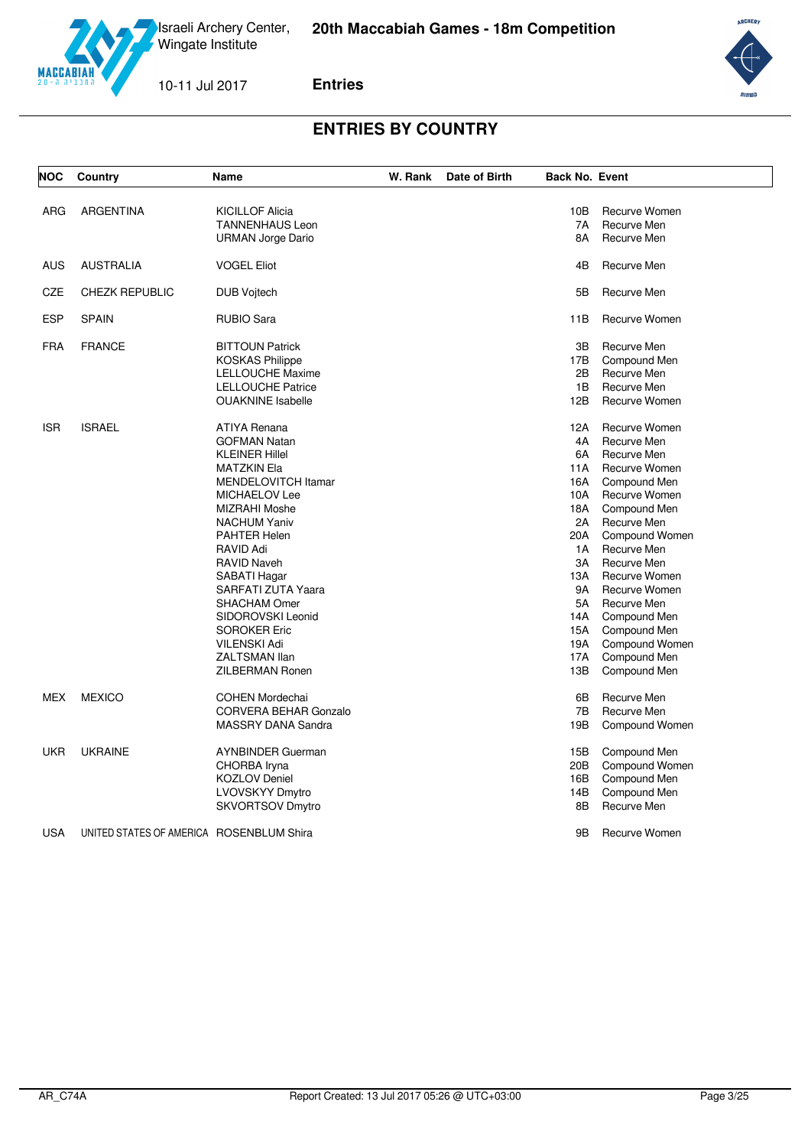

**Entries**



# **ENTRIES BY COUNTRY**

<span id="page-3-0"></span>

| NOC        | Country                                  | Name                         | W. Rank | Date of Birth | <b>Back No. Event</b> |                |
|------------|------------------------------------------|------------------------------|---------|---------------|-----------------------|----------------|
| ARG        | <b>ARGENTINA</b>                         | <b>KICILLOF Alicia</b>       |         |               | 10B                   | Recurve Women  |
|            |                                          | <b>TANNENHAUS Leon</b>       |         |               | 7A                    | Recurve Men    |
|            |                                          | <b>URMAN Jorge Dario</b>     |         |               | 8A                    | Recurve Men    |
| <b>AUS</b> | <b>AUSTRALIA</b>                         | <b>VOGEL Eliot</b>           |         |               | 4B                    | Recurve Men    |
| <b>CZE</b> | <b>CHEZK REPUBLIC</b>                    | <b>DUB Vojtech</b>           |         |               | 5B                    | Recurve Men    |
| <b>ESP</b> | <b>SPAIN</b>                             | RUBIO Sara                   |         |               | 11B                   | Recurve Women  |
| <b>FRA</b> | <b>FRANCE</b>                            | <b>BITTOUN Patrick</b>       |         |               | 3B                    | Recurve Men    |
|            |                                          | <b>KOSKAS Philippe</b>       |         |               | 17B                   | Compound Men   |
|            |                                          | <b>LELLOUCHE Maxime</b>      |         |               | 2B                    | Recurve Men    |
|            |                                          | <b>LELLOUCHE Patrice</b>     |         |               | 1B                    | Recurve Men    |
|            |                                          | <b>OUAKNINE Isabelle</b>     |         |               | 12B                   | Recurve Women  |
| <b>ISR</b> | <b>ISRAEL</b>                            | ATIYA Renana                 |         |               | 12A                   | Recurve Women  |
|            |                                          | <b>GOFMAN Natan</b>          |         |               | 4A                    | Recurve Men    |
|            |                                          | <b>KLEINER Hillel</b>        |         |               | 6A                    | Recurve Men    |
|            |                                          | <b>MATZKIN Ela</b>           |         |               | 11A                   | Recurve Women  |
|            |                                          | MENDELOVITCH Itamar          |         |               | 16A                   | Compound Men   |
|            |                                          | MICHAELOV Lee                |         |               | 10A                   | Recurve Women  |
|            |                                          | <b>MIZRAHI Moshe</b>         |         |               | 18A                   | Compound Men   |
|            |                                          | <b>NACHUM Yaniv</b>          |         |               | 2A                    | Recurve Men    |
|            |                                          | <b>PAHTER Helen</b>          |         |               | 20A                   | Compound Women |
|            |                                          | RAVID Adi                    |         |               | 1A                    | Recurve Men    |
|            |                                          | RAVID Naveh                  |         |               | 3A                    | Recurve Men    |
|            |                                          | SABATI Hagar                 |         |               | 13A                   | Recurve Women  |
|            |                                          | SARFATI ZUTA Yaara           |         |               | <b>9A</b>             | Recurve Women  |
|            |                                          | <b>SHACHAM Omer</b>          |         |               | 5A                    | Recurve Men    |
|            |                                          | SIDOROVSKI Leonid            |         |               | 14A                   | Compound Men   |
|            |                                          | <b>SOROKER Eric</b>          |         |               | 15A                   | Compound Men   |
|            |                                          | <b>VILENSKI Adi</b>          |         |               | 19A                   | Compound Women |
|            |                                          | ZALTSMAN Ilan                |         |               | 17A                   | Compound Men   |
|            |                                          | ZILBERMAN Ronen              |         |               | 13B                   | Compound Men   |
| <b>MEX</b> | <b>MEXICO</b>                            | <b>COHEN Mordechai</b>       |         |               | 6B                    | Recurve Men    |
|            |                                          | <b>CORVERA BEHAR Gonzalo</b> |         |               | 7B                    | Recurve Men    |
|            |                                          | <b>MASSRY DANA Sandra</b>    |         |               | 19B                   | Compound Women |
| <b>UKR</b> | <b>UKRAINE</b>                           | <b>AYNBINDER Guerman</b>     |         |               | 15B                   | Compound Men   |
|            |                                          | CHORBA Iryna                 |         |               | 20 <sub>B</sub>       | Compound Women |
|            |                                          | <b>KOZLOV Deniel</b>         |         |               | 16B                   | Compound Men   |
|            |                                          | LVOVSKYY Dmytro              |         |               | 14B                   | Compound Men   |
|            |                                          | <b>SKVORTSOV Dmytro</b>      |         |               | 8B                    | Recurve Men    |
| <b>USA</b> | UNITED STATES OF AMERICA ROSENBLUM Shira |                              |         |               | 9Β                    | Recurve Women  |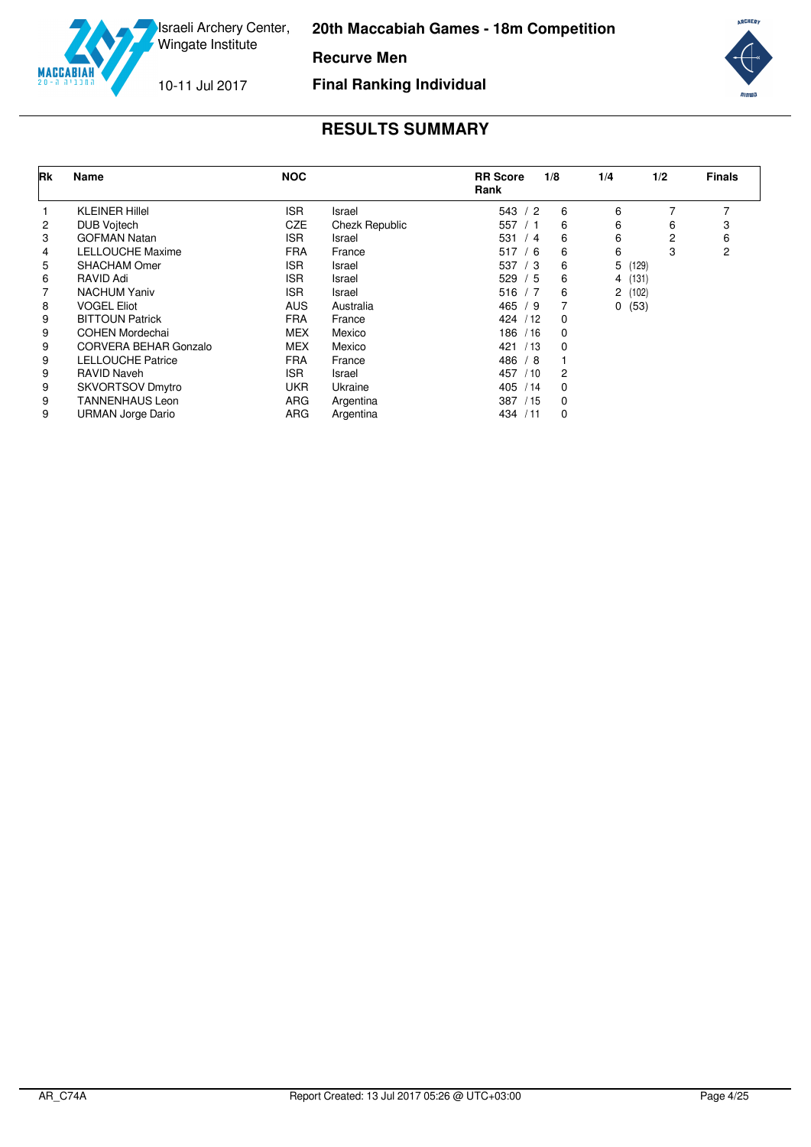

**Recurve Men**

10-11 Jul 2017

**Final Ranking Individual**



<span id="page-4-0"></span>

| Rk | Name                         | <b>NOC</b> |                | <b>RR Score</b><br>Rank | 1/8      | 1/4        | 1/2 | <b>Finals</b> |
|----|------------------------------|------------|----------------|-------------------------|----------|------------|-----|---------------|
|    | <b>KLEINER Hillel</b>        | <b>ISR</b> | Israel         | 543 / 2                 | 6        | 6          |     |               |
| 2  | <b>DUB Vojtech</b>           | <b>CZE</b> | Chezk Republic | 557<br>$\prime$ 1       | 6        | 6          | 6   | 3             |
| 3  | <b>GOFMAN Natan</b>          | <b>ISR</b> | Israel         | 531<br>/4               | 6        | 6          | 2   | 6             |
| 4  | <b>LELLOUCHE Maxime</b>      | <b>FRA</b> | France         | 517<br>/6               | 6        | 6          | 3   | 2             |
| 5  | <b>SHACHAM Omer</b>          | <b>ISR</b> | Israel         | 537<br>$\sqrt{3}$       | 6        | 5<br>(129) |     |               |
| 6  | RAVID Adi                    | <b>ISR</b> | Israel         | 529<br>/5               | 6        | (131)<br>4 |     |               |
|    | <b>NACHUM Yaniv</b>          | <b>ISR</b> | Israel         | 516 / 7                 | 6        | 2<br>(102) |     |               |
| 8  | <b>VOGEL Eliot</b>           | <b>AUS</b> | Australia      | 465<br>/9               |          | (53)<br>0  |     |               |
| 9  | <b>BITTOUN Patrick</b>       | <b>FRA</b> | France         | 424 / 12                | 0        |            |     |               |
| 9  | <b>COHEN Mordechai</b>       | <b>MEX</b> | Mexico         | 186<br>/16              | $\Omega$ |            |     |               |
| 9  | <b>CORVERA BEHAR Gonzalo</b> | <b>MEX</b> | Mexico         | /13<br>421              | 0        |            |     |               |
| 9  | <b>LELLOUCHE Patrice</b>     | <b>FRA</b> | France         | 486<br>/8               |          |            |     |               |
| 9  | <b>RAVID Naveh</b>           | <b>ISR</b> | Israel         | 457<br>/10              | 2        |            |     |               |
| 9  | <b>SKVORTSOV Dmytro</b>      | <b>UKR</b> | Ukraine        | 405<br>/14              | 0        |            |     |               |
| 9  | TANNENHAUS Leon              | ARG        | Argentina      | 387<br>/15              | $\Omega$ |            |     |               |
| 9  | <b>URMAN Jorge Dario</b>     | ARG        | Argentina      | 434<br>/11              | $\Omega$ |            |     |               |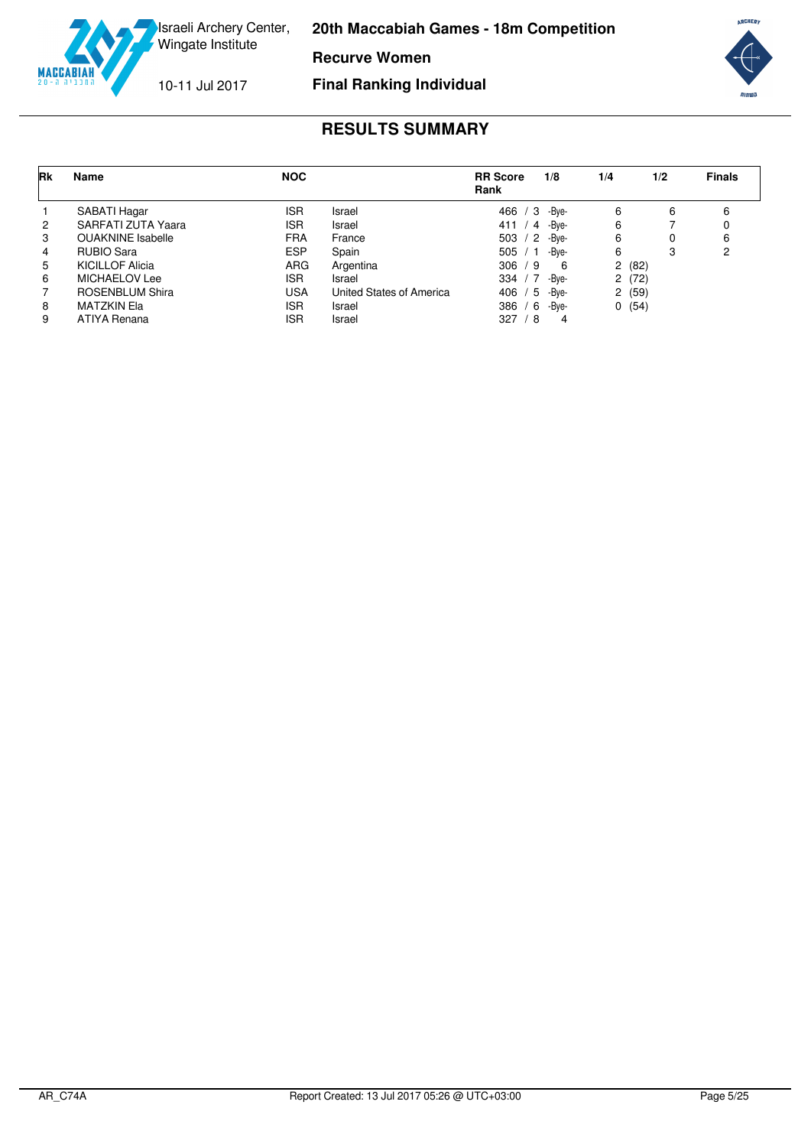

**Recurve Women**

10-11 Jul 2017

**Final Ranking Individual**



<span id="page-5-0"></span>

| <b>Rk</b>      | Name                     | <b>NOC</b> |                          | <b>RR Score</b><br>Rank | 1/8   | 1/4                          | 1/2 | <b>Finals</b> |
|----------------|--------------------------|------------|--------------------------|-------------------------|-------|------------------------------|-----|---------------|
|                | SABATI Hagar             | <b>ISR</b> | Israel                   | $\sqrt{3}$<br>466       | -Bve- | 6                            | 6   | 6             |
| $\overline{2}$ | SARFATI ZUTA Yaara       | <b>ISR</b> | Israel                   | 411/<br>4               | -Bve- | 6                            |     | 0             |
| 3              | <b>OUAKNINE</b> Isabelle | <b>FRA</b> | France                   | 503 / 2                 | -Bve- | 6                            | 0   | 6             |
| 4              | <b>RUBIO Sara</b>        | <b>ESP</b> | Spain                    | 505 / 1                 | -Bve- | 6                            | 3   | 2             |
| 5              | <b>KICILLOF Alicia</b>   | <b>ARG</b> | Argentina                | 306 / 9                 | -6    | (82)<br>$\mathbf{2}^{\circ}$ |     |               |
| 6              | MICHAELOV Lee            | <b>ISR</b> | Israel                   | 334 / 7                 | -Bve- | (72)<br>$\mathbf{2}^{\circ}$ |     |               |
|                | <b>ROSENBLUM Shira</b>   | USA        | United States of America | 406<br>$^{\prime}5$     | -Bve- | (59)<br>$\mathbf{2}^{\circ}$ |     |               |
| 8              | <b>MATZKIN Ela</b>       | <b>ISR</b> | Israel                   | 386 / 6                 | -Bve- | 0(54)                        |     |               |
| 9              | ATIYA Renana             | <b>ISR</b> | Israel                   | 327<br>/ 8              | 4     |                              |     |               |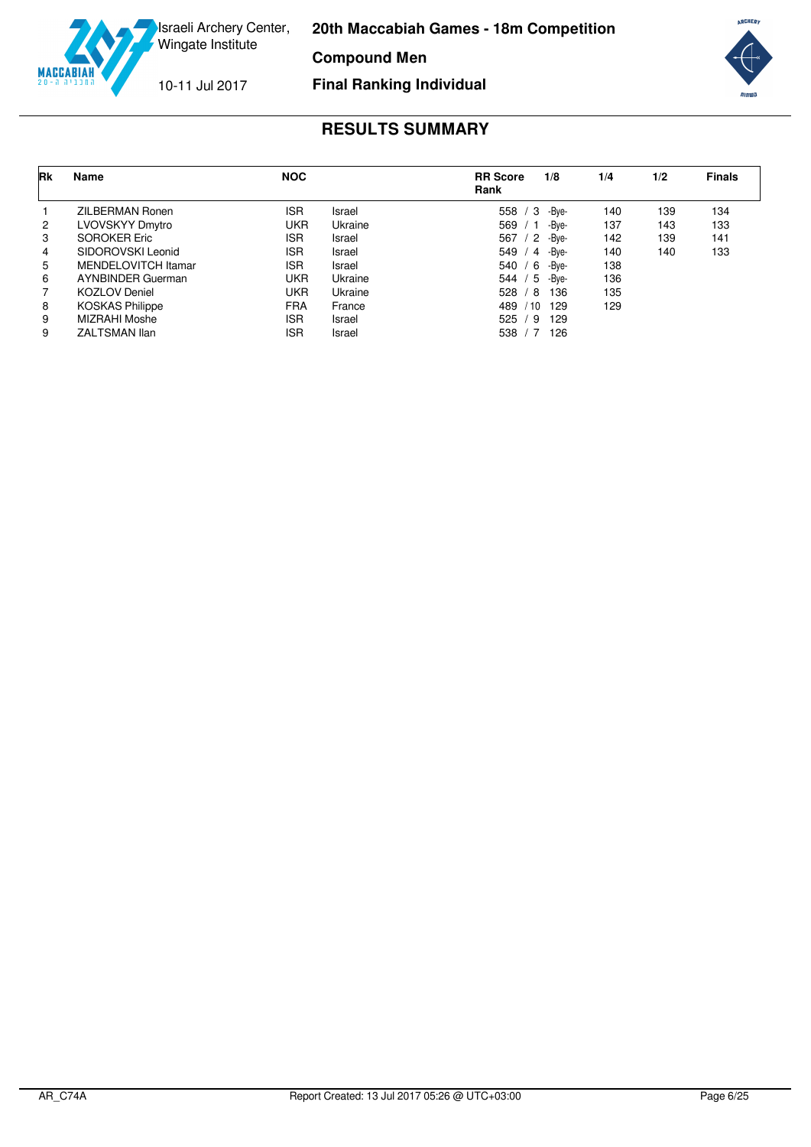

**Compound Men**

10-11 Jul 2017

**Final Ranking Individual**



<span id="page-6-0"></span>

| <b>Rk</b>      | <b>Name</b>              | <b>NOC</b> |         | <b>RR</b> Score<br>Rank | 1/8   | 1/4 | 1/2 | <b>Finals</b> |
|----------------|--------------------------|------------|---------|-------------------------|-------|-----|-----|---------------|
|                | ZILBERMAN Ronen          | <b>ISR</b> | Israel  | -3<br>558               | -Bve- | 140 | 139 | 134           |
| $\overline{2}$ | LVOVSKYY Dmytro          | <b>UKR</b> | Ukraine | 569                     | -Bve- | 137 | 143 | 133           |
| 3              | <b>SOROKER Eric</b>      | <b>ISR</b> | Israel  | 567<br>/2               | -Bve- | 142 | 139 | 141           |
| 4              | SIDOROVSKI Leonid        | <b>ISR</b> | Israel  | 549/<br>4               | -Bve- | 140 | 140 | 133           |
| 5              | MENDELOVITCH Itamar      | ISR        | Israel  | 540<br>- 6              | -Bve- | 138 |     |               |
| 6              | <b>AYNBINDER Guerman</b> | UKR        | Ukraine | -5<br>544               | -Bve- | 136 |     |               |
|                | <b>KOZLOV</b> Deniel     | <b>UKR</b> | Ukraine | 528 / 8                 | 136   | 135 |     |               |
| 8              | <b>KOSKAS Philippe</b>   | <b>FRA</b> | France  | /10<br>489              | 129   | 129 |     |               |
| 9              | MIZRAHI Moshe            | <b>ISR</b> | Israel  | 525/<br>- 9             | 129   |     |     |               |
| 9              | <b>ZALTSMAN Ilan</b>     | <b>ISR</b> | Israel  | 538                     | 126   |     |     |               |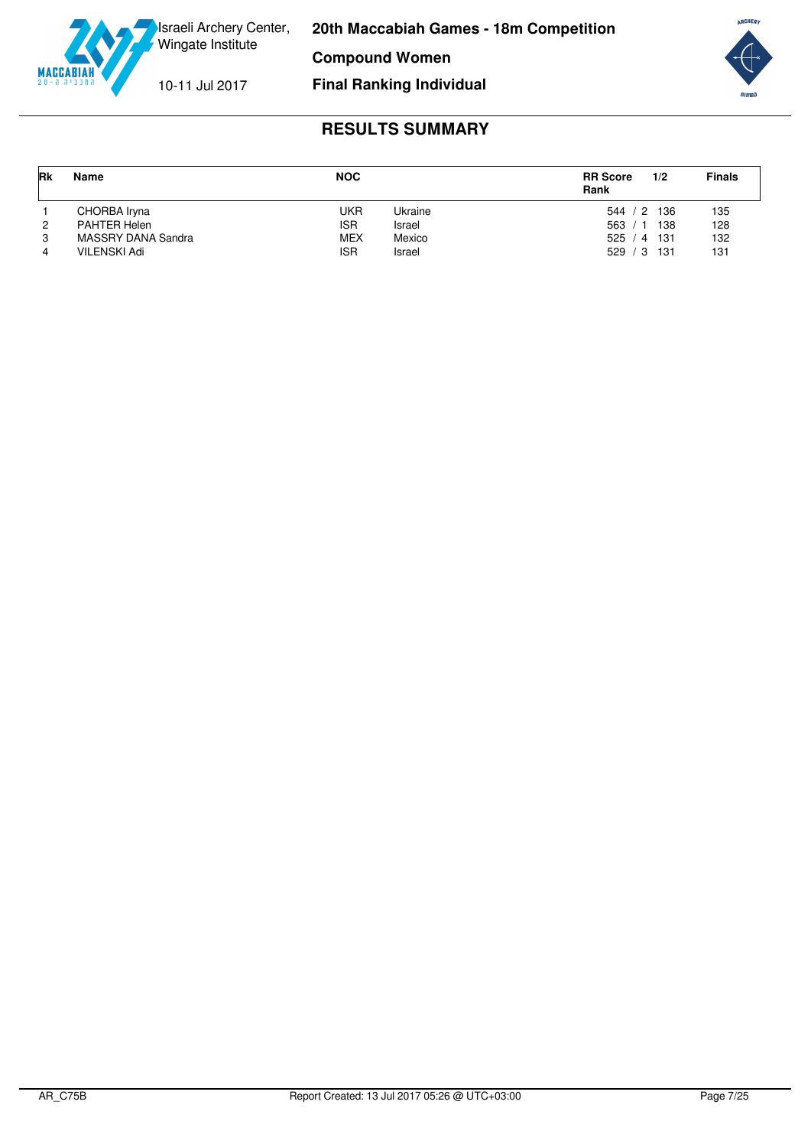

**Compound Women**

10-11 Jul 2017

### **Final Ranking Individual**



<span id="page-7-0"></span>

| Rk | Name               | <b>NOC</b> |         | 1/2<br><b>RR</b> Score<br>Rank | <b>Finals</b> |
|----|--------------------|------------|---------|--------------------------------|---------------|
|    | CHORBA Iryna       | UKR        | Ukraine | 544 / 2 136                    | 135           |
| 2  | PAHTER Helen       | <b>ISR</b> | Israel  | 138<br>563 / 1                 | 128           |
| 3  | MASSRY DANA Sandra | <b>MEX</b> | Mexico  | 525 / 4 131                    | 132           |
| 4  | VILENSKI Adi       | <b>ISR</b> | Israel  | $529 / 3$ 131                  | 131           |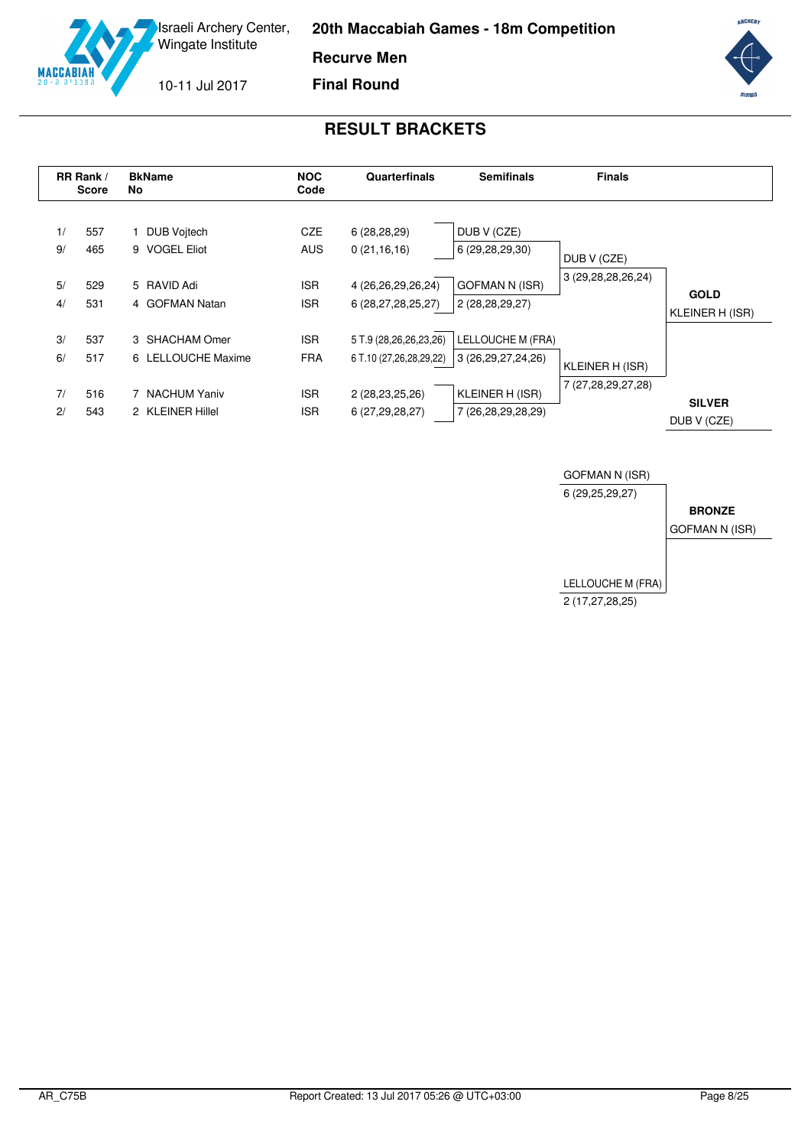**20th Maccabiah Games - 18m Competition**

**Recurve Men**



**Final Round**



<span id="page-8-0"></span>

|          | RR Rank /<br><b>Score</b> | <b>BkName</b><br>No                  | <b>NOC</b><br>Code       | Quarterfinals                                     | <b>Semifinals</b>                           | <b>Finals</b>          |                                |
|----------|---------------------------|--------------------------------------|--------------------------|---------------------------------------------------|---------------------------------------------|------------------------|--------------------------------|
| 1/<br>9/ | 557<br>465                | <b>DUB Voitech</b><br>9 VOGEL Eliot  | <b>CZE</b><br><b>AUS</b> | 6(28, 28, 29)<br>0(21, 16, 16)                    | DUB V (CZE)<br>6 (29,28,29,30)              | DUB V (CZE)            |                                |
| 5/<br>4/ | 529<br>531                | 5 RAVID Adi<br>4 GOFMAN Natan        | <b>ISR</b><br><b>ISR</b> | 4 (26,26,29,26,24)<br>6 (28,27,28,25,27)          | <b>GOFMAN N (ISR)</b><br>2 (28,28,29,27)    | 3 (29, 28, 28, 26, 24) | <b>GOLD</b><br>KLEINER H (ISR) |
| 3/<br>6/ | 537<br>517                | 3 SHACHAM Omer<br>6 LELLOUCHE Maxime | <b>ISR</b><br><b>FRA</b> | 5 T.9 (28,26,26,23,26)<br>6 T.10 (27,26,28,29,22) | LELLOUCHE M (FRA)<br>3 (26, 29, 27, 24, 26) | KLEINER H (ISR)        |                                |
| 7/<br>2/ | 516<br>543                | 7 NACHUM Yaniv<br>2 KLEINER Hillel   | <b>ISR</b><br><b>ISR</b> | 2 (28,23,25,26)<br>6 (27,29,28,27)                | KLEINER H (ISR)<br>7 (26,28,29,28,29)       | 7 (27,28,29,27,28)     | <b>SILVER</b><br>DUB V (CZE)   |

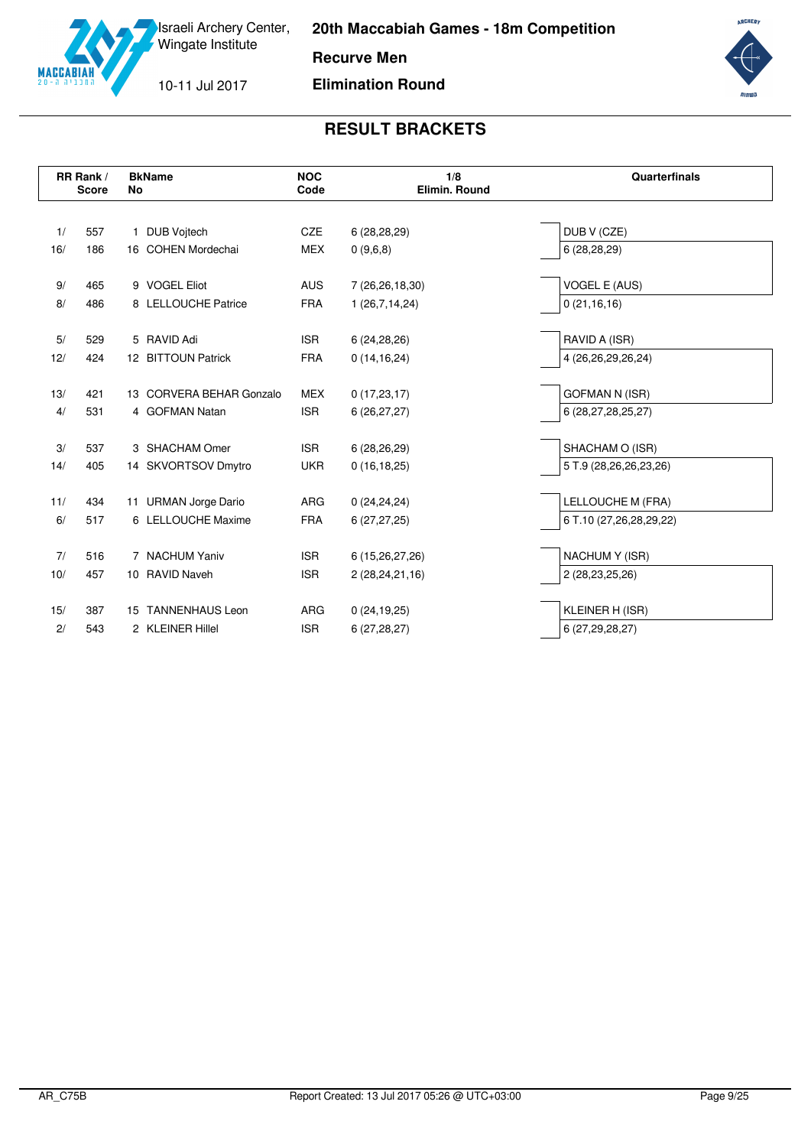**20th Maccabiah Games - 18m Competition**

**Recurve Men**

10-11 Jul 2017

**MACCABIA** 

**Elimination Round**



|     | RR Rank /<br><b>Score</b> | <b>BkName</b><br>No      | <b>NOC</b><br>Code | 1/8<br>Elimin. Round | <b>Quarterfinals</b>    |
|-----|---------------------------|--------------------------|--------------------|----------------------|-------------------------|
|     |                           |                          |                    |                      |                         |
| 1/  | 557                       | 1 DUB Vojtech            | <b>CZE</b>         | 6(28, 28, 29)        | DUB V (CZE)             |
| 16/ | 186                       | 16 COHEN Mordechai       | <b>MEX</b>         | 0(9,6,8)             | 6(28, 28, 29)           |
| 9/  | 465                       | 9 VOGEL Eliot            | <b>AUS</b>         | 7 (26,26,18,30)      | VOGEL E (AUS)           |
| 8/  | 486                       | 8 LELLOUCHE Patrice      | <b>FRA</b>         | 1(26,7,14,24)        | 0(21, 16, 16)           |
|     |                           |                          |                    |                      |                         |
| 5/  | 529                       | 5 RAVID Adi              | <b>ISR</b>         | 6(24, 28, 26)        | RAVID A (ISR)           |
| 12/ | 424                       | 12 BITTOUN Patrick       | <b>FRA</b>         | 0(14, 16, 24)        | 4 (26,26,29,26,24)      |
|     |                           |                          |                    |                      |                         |
| 13/ | 421                       | 13 CORVERA BEHAR Gonzalo | <b>MEX</b>         | 0(17,23,17)          | <b>GOFMAN N (ISR)</b>   |
| 4/  | 531                       | 4 GOFMAN Natan           | <b>ISR</b>         | 6(26, 27, 27)        | 6 (28,27,28,25,27)      |
|     |                           |                          |                    |                      |                         |
| 3/  | 537                       | 3 SHACHAM Omer           | <b>ISR</b>         | 6(28, 26, 29)        | SHACHAM O (ISR)         |
| 14/ | 405                       | 14 SKVORTSOV Dmytro      | <b>UKR</b>         | 0(16, 18, 25)        | 5 T.9 (28,26,26,23,26)  |
|     |                           |                          |                    |                      |                         |
| 11/ | 434                       | 11 URMAN Jorge Dario     | ARG                | 0(24, 24, 24)        | LELLOUCHE M (FRA)       |
| 6/  | 517                       | 6 LELLOUCHE Maxime       | <b>FRA</b>         | 6(27, 27, 25)        | 6 T.10 (27,26,28,29,22) |
|     |                           |                          |                    |                      |                         |
| 7/  | 516                       | 7 NACHUM Yaniv           | <b>ISR</b>         | 6 (15,26,27,26)      | NACHUM Y (ISR)          |
| 10/ | 457                       | 10 RAVID Naveh           | <b>ISR</b>         | 2 (28,24,21,16)      | 2 (28, 23, 25, 26)      |
|     |                           |                          |                    |                      |                         |
| 15/ | 387                       | 15 TANNENHAUS Leon       | <b>ARG</b>         | 0(24, 19, 25)        | KLEINER H (ISR)         |
| 2/  | 543                       | 2 KLEINER Hillel         | <b>ISR</b>         | 6(27, 28, 27)        | 6 (27,29,28,27)         |
|     |                           |                          |                    |                      |                         |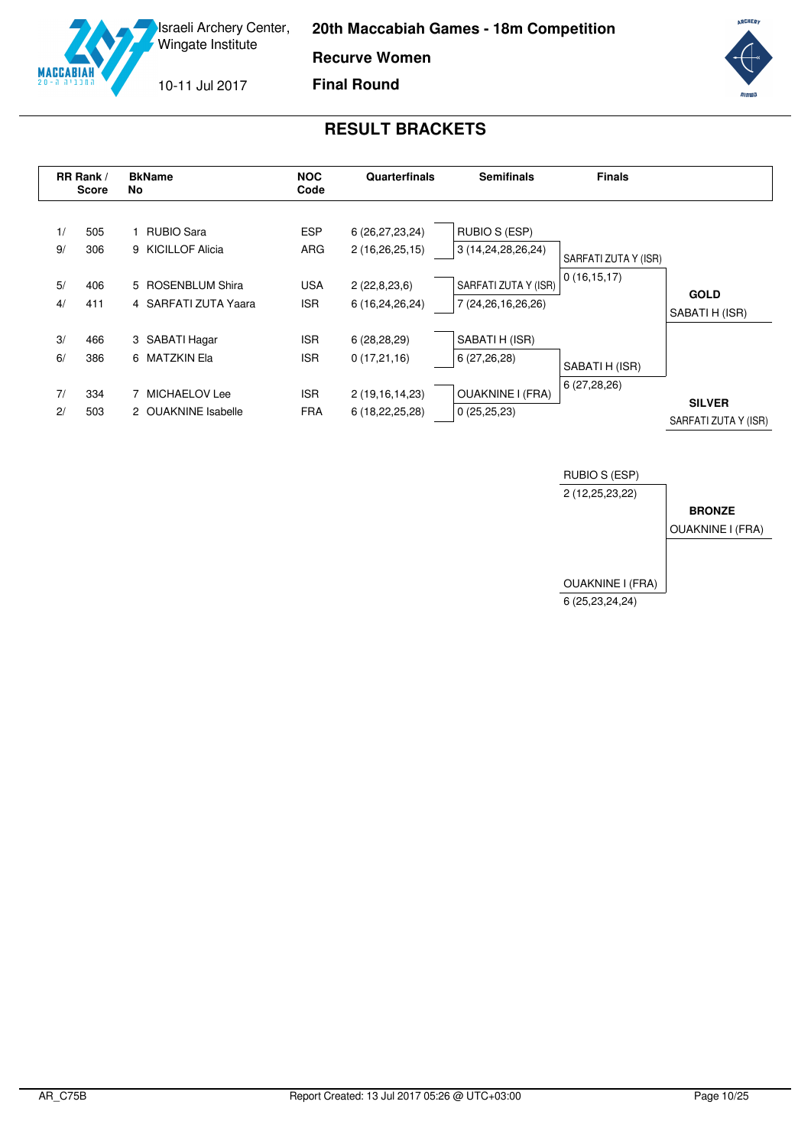**20th Maccabiah Games - 18m Competition**

**Recurve Women**



**Final Round**

# **RESULT BRACKETS**

<span id="page-10-0"></span>



**ARCHERY**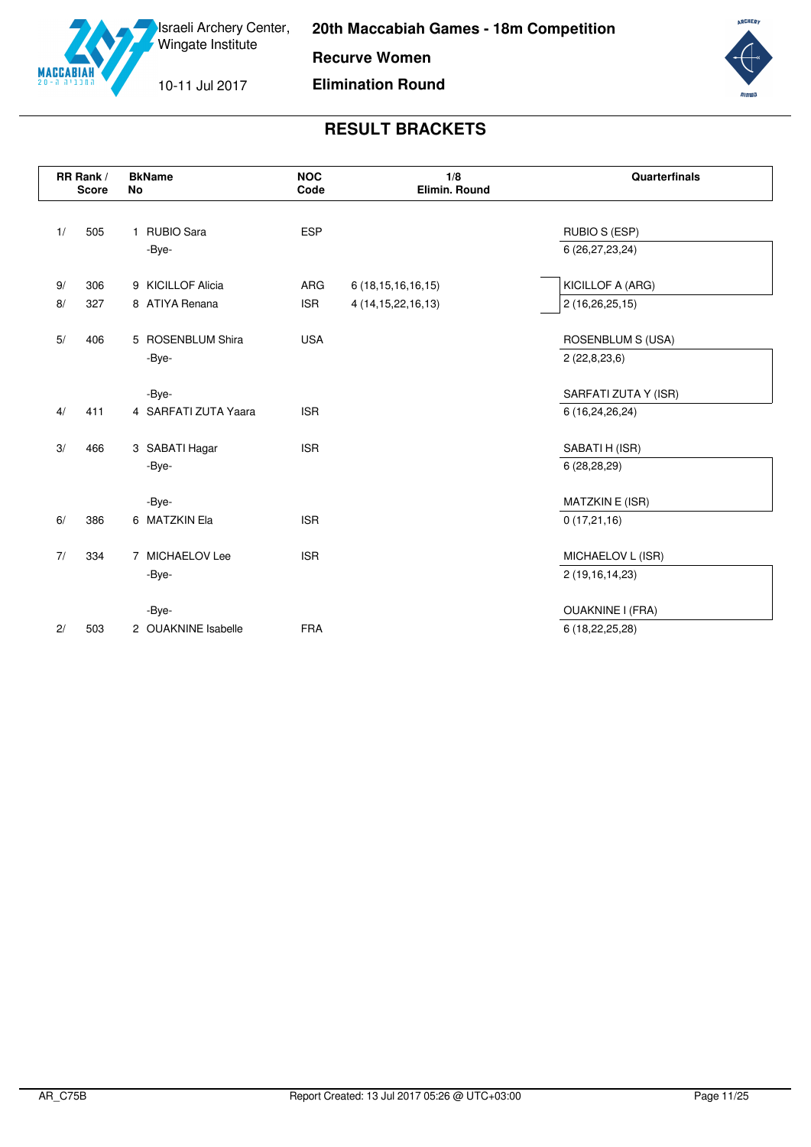

**Recurve Women**

10-11 Jul 2017

**MACCABI** 

**Elimination Round**



|    | RR Rank /<br><b>Score</b> | <b>BkName</b><br><b>No</b>        | <b>NOC</b><br>Code | 1/8<br>Elimin. Round   | Quarterfinals           |
|----|---------------------------|-----------------------------------|--------------------|------------------------|-------------------------|
| 1/ | 505                       | <b>RUBIO Sara</b><br>$\mathbf{1}$ | <b>ESP</b>         |                        | RUBIO S (ESP)           |
|    |                           | -Bye-                             |                    |                        | 6 (26,27,23,24)         |
| 9/ | 306                       | 9 KICILLOF Alicia                 | <b>ARG</b>         | 6 (18, 15, 16, 16, 15) | KICILLOF A (ARG)        |
| 8/ | 327                       | 8 ATIYA Renana                    | <b>ISR</b>         | 4 (14, 15, 22, 16, 13) | 2 (16,26,25,15)         |
| 5/ | 406                       | 5 ROSENBLUM Shira                 | <b>USA</b>         |                        | ROSENBLUM S (USA)       |
|    |                           | -Bye-                             |                    |                        | 2(22,8,23,6)            |
|    |                           | -Bye-                             |                    |                        | SARFATI ZUTA Y (ISR)    |
| 4/ | 411                       | 4 SARFATI ZUTA Yaara              | <b>ISR</b>         |                        | 6 (16,24,26,24)         |
| 3/ | 466                       | 3 SABATI Hagar                    | <b>ISR</b>         |                        | SABATI H (ISR)          |
|    |                           | -Bye-                             |                    |                        | 6(28, 28, 29)           |
|    |                           | -Bye-                             |                    |                        | MATZKIN E (ISR)         |
| 6/ | 386                       | 6 MATZKIN Ela                     | <b>ISR</b>         |                        | 0(17,21,16)             |
| 7/ | 334                       | 7 MICHAELOV Lee                   | <b>ISR</b>         |                        | MICHAELOV L (ISR)       |
|    |                           | -Bye-                             |                    |                        | 2 (19,16,14,23)         |
|    |                           | -Bye-                             |                    |                        | <b>OUAKNINE I (FRA)</b> |
| 2/ | 503                       | 2 OUAKNINE Isabelle               | <b>FRA</b>         |                        | 6 (18,22,25,28)         |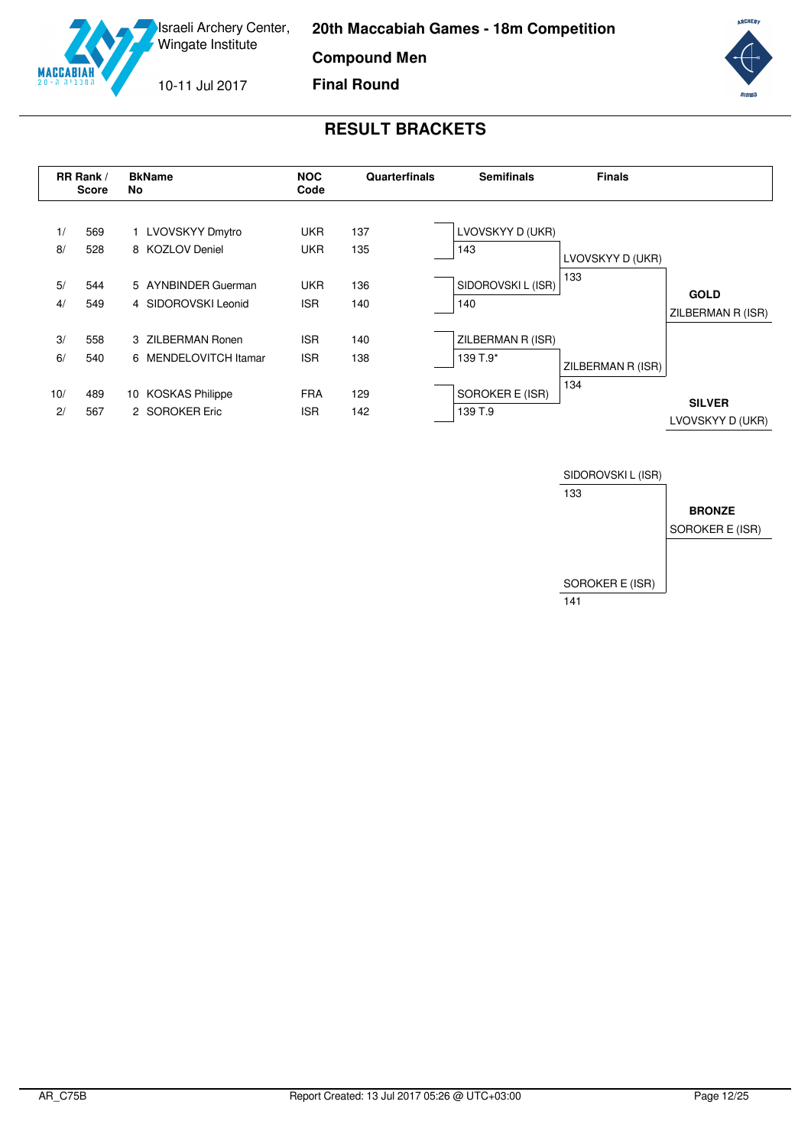**20th Maccabiah Games - 18m Competition**

**Compound Men**

10-11 Jul 2017

MA<sub>1</sub>

**Final Round**



<span id="page-12-0"></span>



**ARCHERY**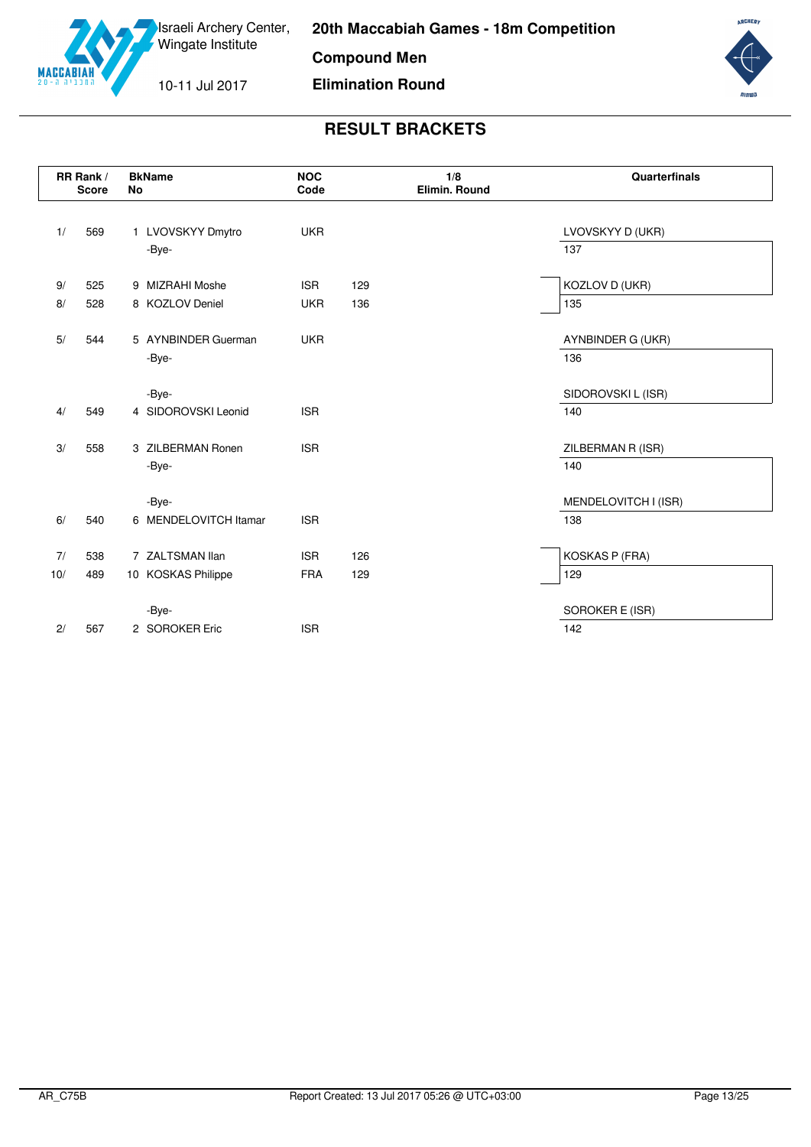

**Compound Men**

10-11 Jul 2017

**Elimination Round**



|     | RR Rank /<br><b>Score</b> | <b>BkName</b><br><b>No</b> | <b>NOC</b><br>Code | 1/8<br>Elimin. Round | Quarterfinals        |
|-----|---------------------------|----------------------------|--------------------|----------------------|----------------------|
| 1/  | 569                       | 1 LVOVSKYY Dmytro          | <b>UKR</b>         |                      | LVOVSKYY D (UKR)     |
|     |                           | -Bye-                      |                    |                      | 137                  |
| 9/  | 525                       | 9 MIZRAHI Moshe            | <b>ISR</b>         | 129                  | KOZLOV D (UKR)       |
| 8/  | 528                       | 8 KOZLOV Deniel            | <b>UKR</b>         | 136                  | 135                  |
| 5/  | 544                       | 5 AYNBINDER Guerman        | <b>UKR</b>         |                      | AYNBINDER G (UKR)    |
|     |                           | -Bye-                      |                    |                      | 136                  |
|     |                           | -Bye-                      |                    |                      | SIDOROVSKI L (ISR)   |
| 4/  | 549                       | 4 SIDOROVSKI Leonid        | <b>ISR</b>         |                      | 140                  |
| 3/  | 558                       | 3 ZILBERMAN Ronen          | <b>ISR</b>         |                      | ZILBERMAN R (ISR)    |
|     |                           | -Bye-                      |                    |                      | 140                  |
|     |                           | -Bye-                      |                    |                      | MENDELOVITCH I (ISR) |
| 6/  | 540                       | 6 MENDELOVITCH Itamar      | <b>ISR</b>         |                      | 138                  |
| 7/  | 538                       | 7 ZALTSMAN Ilan            | <b>ISR</b>         | 126                  | KOSKAS P (FRA)       |
| 10/ | 489                       | 10 KOSKAS Philippe         | <b>FRA</b>         | 129                  | 129                  |
|     |                           | -Bye-                      |                    |                      | SOROKER E (ISR)      |
| 2/  | 567                       | 2 SOROKER Eric             | <b>ISR</b>         |                      | 142                  |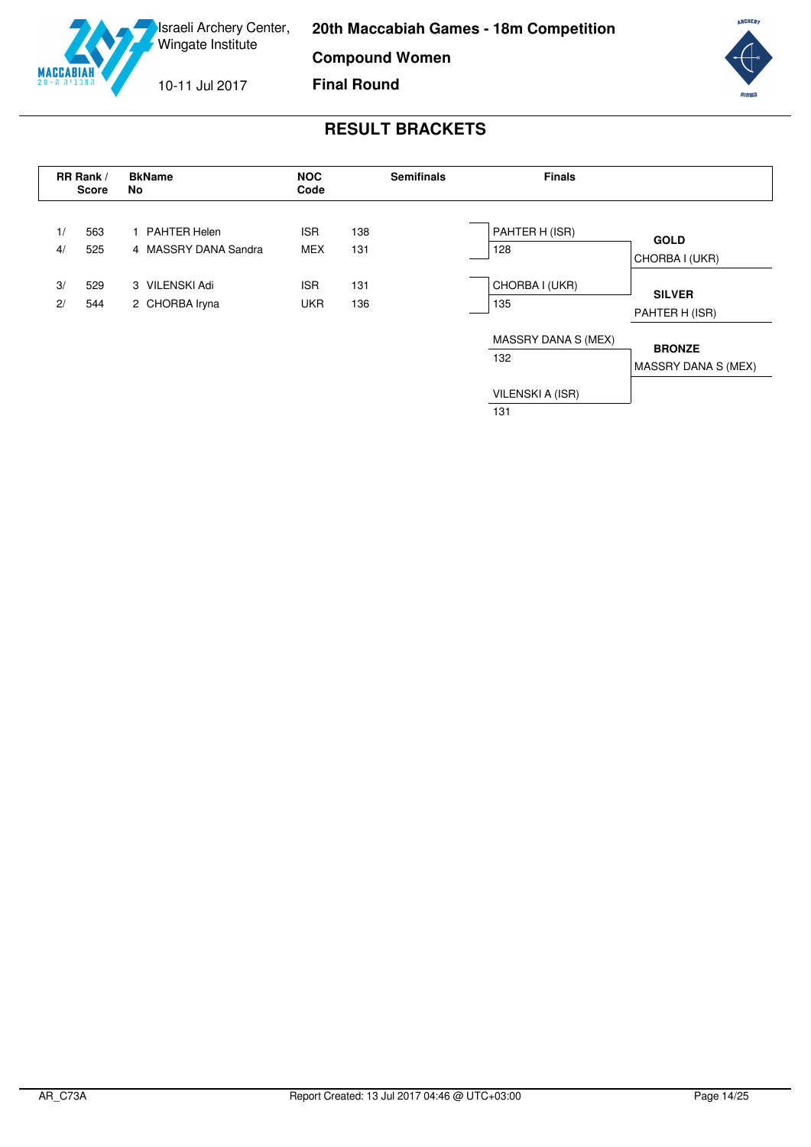**Compound Women**

10-11 Jul 2017

**MACCABI** 

**Final Round**



### **RESULT BRACKETS**

<span id="page-14-0"></span>

131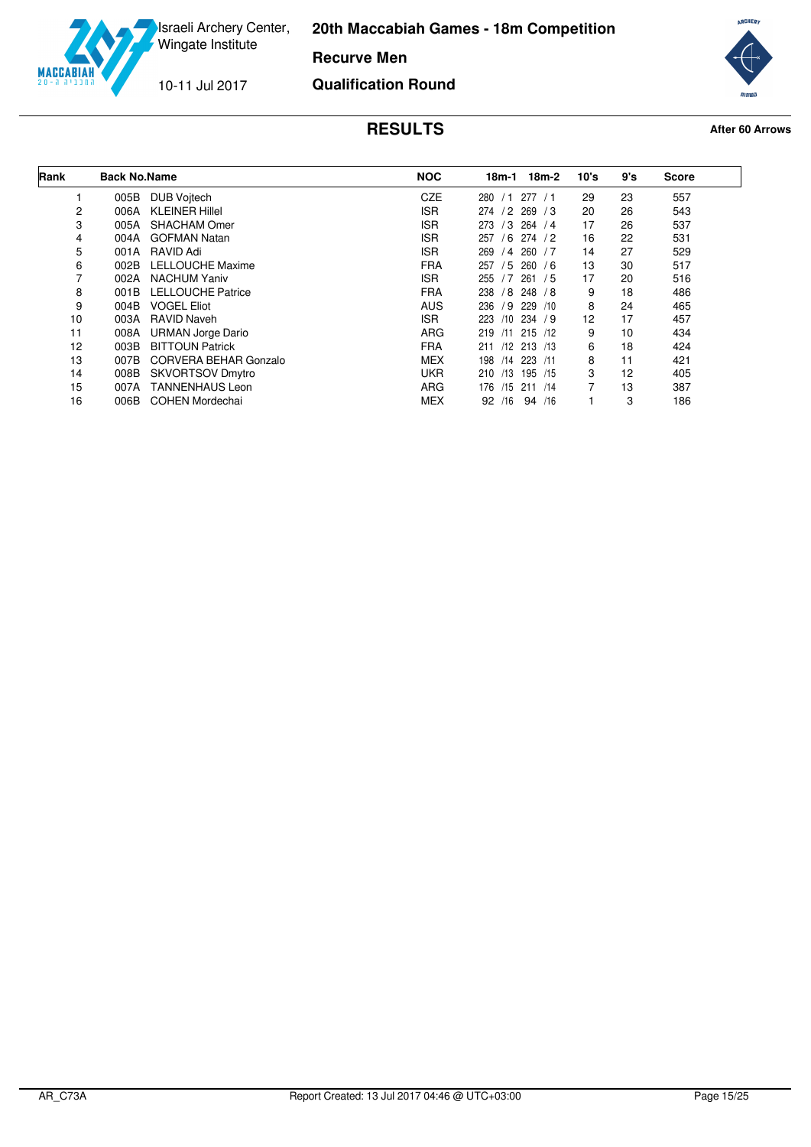

**Recurve Men**

10-11 Jul 2017

**MACCABI** 

**Qualification Round**



<span id="page-15-0"></span>

| Rank | <b>Back No.Name</b> |                              | <b>NOC</b> | 18m-2<br>18m-1                 | 10's | 9's | <b>Score</b> |
|------|---------------------|------------------------------|------------|--------------------------------|------|-----|--------------|
|      | 005B                | <b>DUB Vojtech</b>           | CZE        | 277<br>280<br>/1<br>/1         | 29   | 23  | 557          |
| 2    | 006A                | <b>KLEINER Hillel</b>        | <b>ISR</b> | 269<br>/2<br>274<br>/3         | 20   | 26  | 543          |
| 3    | 005A                | SHACHAM Omer                 | <b>ISR</b> | /3<br>273<br>264<br>/4         | 17   | 26  | 537          |
| 4    | 004A                | <b>GOFMAN Natan</b>          | <b>ISR</b> | 6<br>274/2<br>257              | 16   | 22  | 531          |
| 5    | 001A                | RAVID Adi                    | <b>ISR</b> | 260<br>269<br>$\sqrt{4}$<br>/7 | 14   | 27  | 529          |
| 6    | 002B                | <b>LELLOUCHE Maxime</b>      | <b>FRA</b> | 5<br>260<br>257<br>/6          | 13   | 30  | 517          |
| 7    | 002A                | <b>NACHUM Yaniv</b>          | <b>ISR</b> | 255<br>/7<br>261<br>/5         | 17   | 20  | 516          |
| 8    | 001B                | <b>LELLOUCHE Patrice</b>     | <b>FRA</b> | /8 248 /8<br>238               | 9    | 18  | 486          |
| 9    | 004B                | <b>VOGEL Eliot</b>           | <b>AUS</b> | /9<br>229<br>236<br>/10        | 8    | 24  | 465          |
| 10   | 003A                | <b>RAVID Naveh</b>           | ISR.       | 234 / 9<br>223<br>/10          | 12   | 17  | 457          |
| 11   | 008A                | URMAN Jorge Dario            | <b>ARG</b> | 219<br>215/12<br>/11           | 9    | 10  | 434          |
| 12   | 003B                | <b>BITTOUN Patrick</b>       | <b>FRA</b> | $/12$ 213 $/13$<br>211         | 6    | 18  | 424          |
| 13   | 007B                | <b>CORVERA BEHAR Gonzalo</b> | <b>MEX</b> | 223 /11<br>198<br>/14          | 8    | 11  | 421          |
| 14   | 008B                | <b>SKVORTSOV Dmytro</b>      | <b>UKR</b> | 210<br>/13<br>195 /15          | 3    | 12  | 405          |
| 15   | 007A                | <b>TANNENHAUS Leon</b>       | <b>ARG</b> | /15<br>176<br>211/14           | 7    | 13  | 387          |
| 16   | 006B                | <b>COHEN Mordechai</b>       | <b>MEX</b> | 92<br>/16<br>94 /16            |      | 3   | 186          |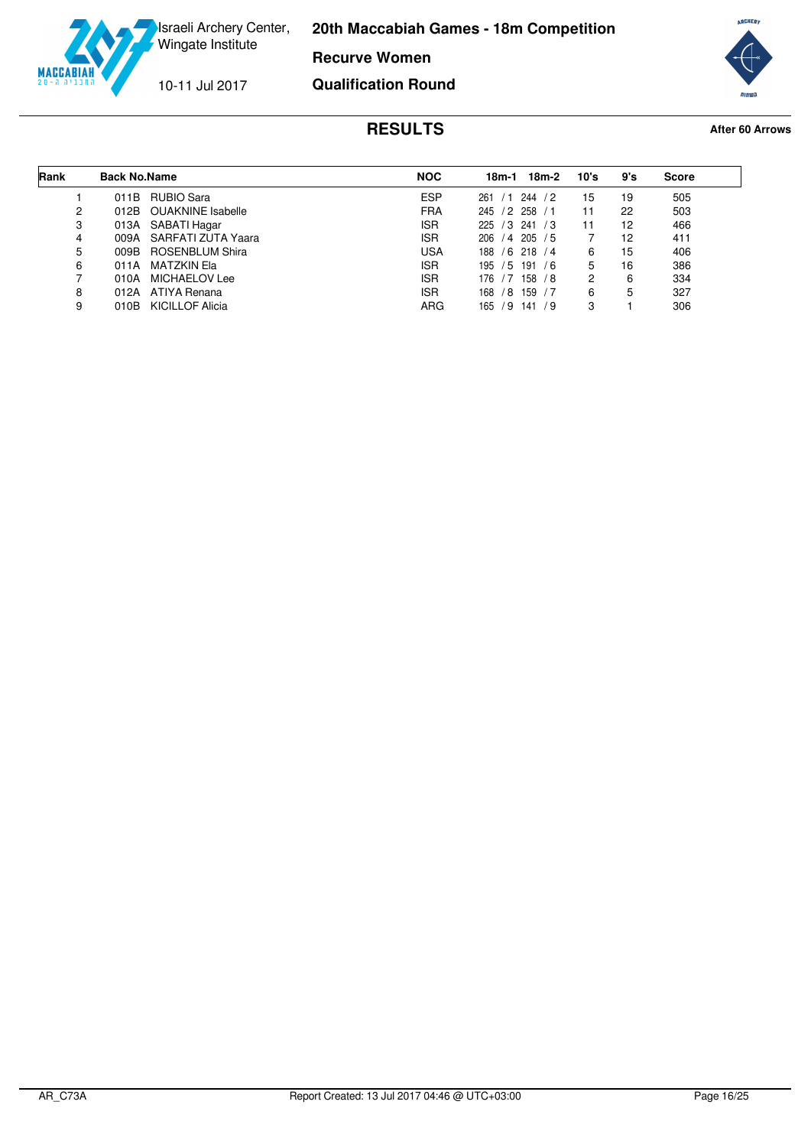

**Recurve Women**

10-11 Jul 2017

**MACCABI** 

**Qualification Round**



<span id="page-16-0"></span>

| Rank | <b>Back No.Name</b>     |                        | <b>NOC</b> | 18m-1            | 18m-2       | 10's | 9's | Score |
|------|-------------------------|------------------------|------------|------------------|-------------|------|-----|-------|
|      | RUBIO Sara<br>011B      |                        | ESP        | 261              | 244<br>/2   | 15   | 19  | 505   |
| 2    | 012B OUAKNINE Isabelle  |                        | FRA        | 245<br>$.72$ $"$ | 258<br>/1   | 11   | 22  | 503   |
| 3    | 013A SABATI Hagar       |                        | <b>ISR</b> | 225<br>/3        | 241<br>- 73 | 11   | 12  | 466   |
| 4    | 009A                    | SARFATI ZUTA Yaara     | <b>ISR</b> | 206<br>/4        | 205<br>/5   |      | 12  | 411   |
| 5    | 009B                    | <b>ROSENBLUM Shira</b> | USA        | $/6$ 218<br>188  | /4          | 6    | 15  | 406   |
| 6    | MATZKIN Ela<br>011A     |                        | <b>ISR</b> | 195<br>/5        | 191<br>/6   | 5    | 16  | 386   |
|      | MICHAELOV Lee<br>010A   |                        | <b>ISR</b> | 176              | 58<br>78    | 2    | 6   | 334   |
| 8    | ATIYA Renana<br>012A    |                        | <b>ISR</b> | 168<br>/8        | 159<br>/7   | 6    | 5   | 327   |
| 9    | KICILLOF Alicia<br>010B |                        | <b>ARG</b> | 165<br>19        | 79<br>141   | 3    |     | 306   |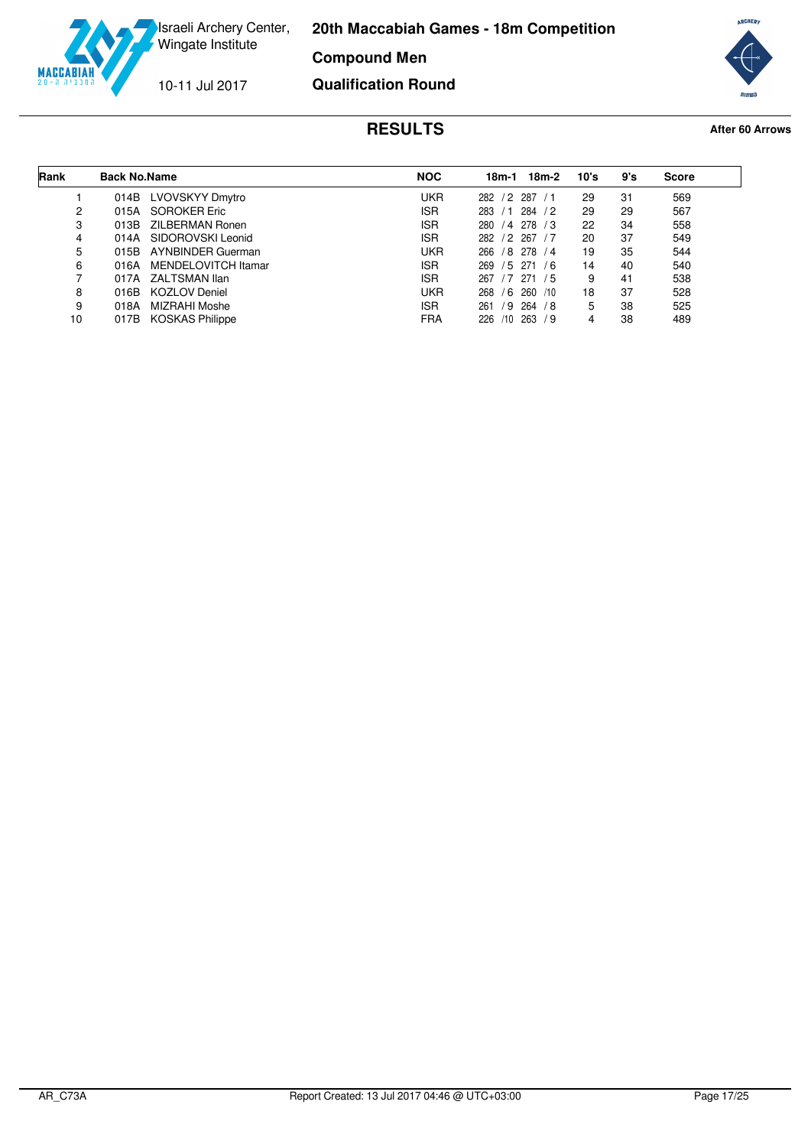

**Compound Men**

10-11 Jul 2017

**MACCABI** 

**Qualification Round**



<span id="page-17-0"></span>

| Rank | <b>Back No.Name</b>            | <b>NOC</b> | 18m-2<br>18m-1                | 10's | 9's | <b>Score</b> |
|------|--------------------------------|------------|-------------------------------|------|-----|--------------|
|      | 014B<br>LVOVSKYY Dmytro        | <b>UKR</b> | 287<br>282<br>/2<br>/1        | 29   | 31  | 569          |
| 2    | SOROKER Eric<br>015A           | <b>ISR</b> | 284<br>283<br>/2<br>/1        | 29   | 29  | 567          |
| 3    | ZILBERMAN Ronen<br>013B        | <b>ISR</b> | / 4 278<br>280<br>/3          | 22   | 34  | 558          |
| 4    | SIDOROVSKI Leonid<br>014A      | <b>ISR</b> | /7<br>282<br>/2<br>267        | 20   | 37  | 549          |
| 5    | AYNBINDER Guerman<br>015B      | <b>UKR</b> | /8 278<br>266<br>/4           | 19   | 35  | 544          |
| 6    | MENDELOVITCH Itamar<br>016A    | <b>ISR</b> | $/5$ 271<br>269<br>76         | 14   | 40  | 540          |
|      | ZALTSMAN Ilan<br>017A          | <b>ISR</b> | $/7$ $-$<br>267<br>-271<br>/5 | 9    | 41  | 538          |
| 8    | <b>KOZLOV</b> Deniel<br>016B   | <b>UKR</b> | 268<br>/6<br>260<br>/10       | 18   | 37  | 528          |
| 9    | MIZRAHI Moshe<br>018A          | <b>ISR</b> | 264<br>261<br>/9<br>78        | 5    | 38  | 525          |
| 10   | <b>KOSKAS Philippe</b><br>017B | FRA        | /10<br>263<br>226<br>79       | 4    | 38  | 489          |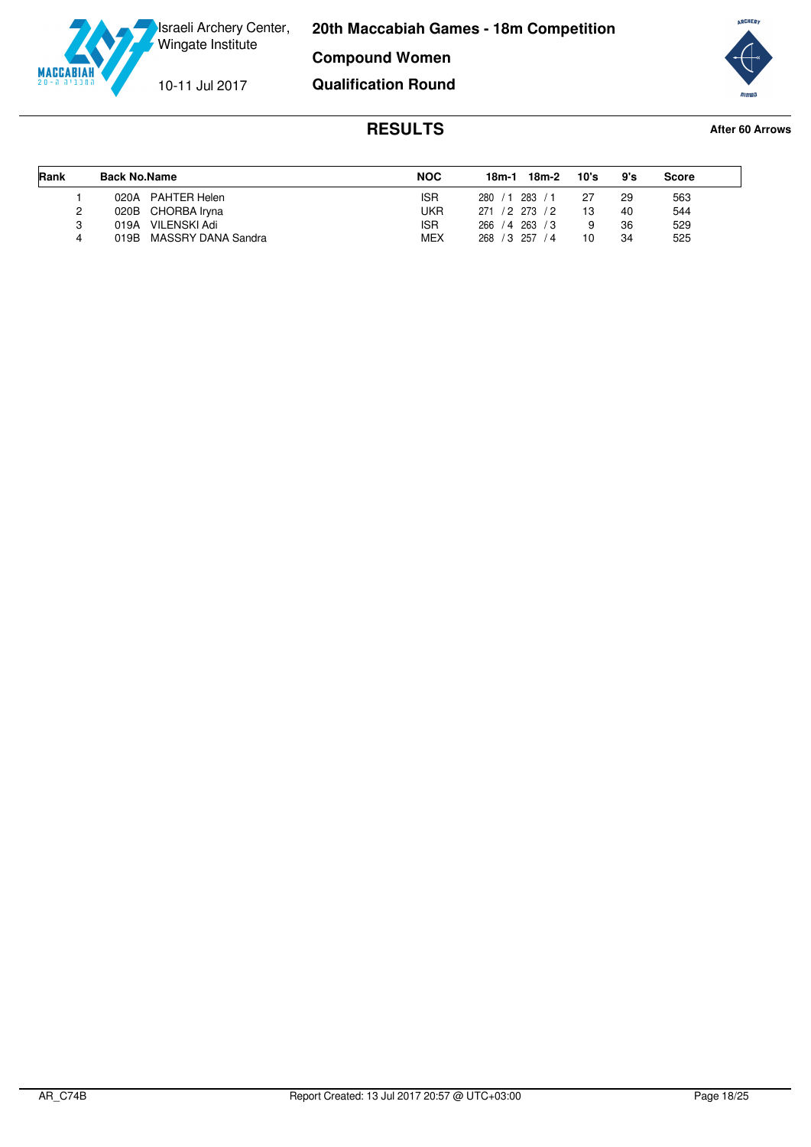

**20th Maccabiah Games - 18m Competition Compound Women**

10-11 Jul 2017

**Qualification Round**



<span id="page-18-0"></span>

| Rank | <b>Back No.Name</b> |                         | <b>NOC</b> | 18m-1           | 18m-2 | 10's | 9's | Score |
|------|---------------------|-------------------------|------------|-----------------|-------|------|-----|-------|
|      | 020A                | PAHTER Helen            | <b>ISR</b> | 280 / 1 283 / 1 |       | 27   | 29  | 563   |
| 2    |                     | 020B CHORBA Iryna       | UKR        | 271 / 2 273 / 2 |       | 13   | 40  | 544   |
| 3    | 019A                | VILENSKI Adi            | <b>ISR</b> | 266 / 4 263 / 3 |       |      | 36  | 529   |
| 4    |                     | 019B MASSRY DANA Sandra | <b>MEX</b> | 268 / 3 257     | /4    | 10   | 34  | 525   |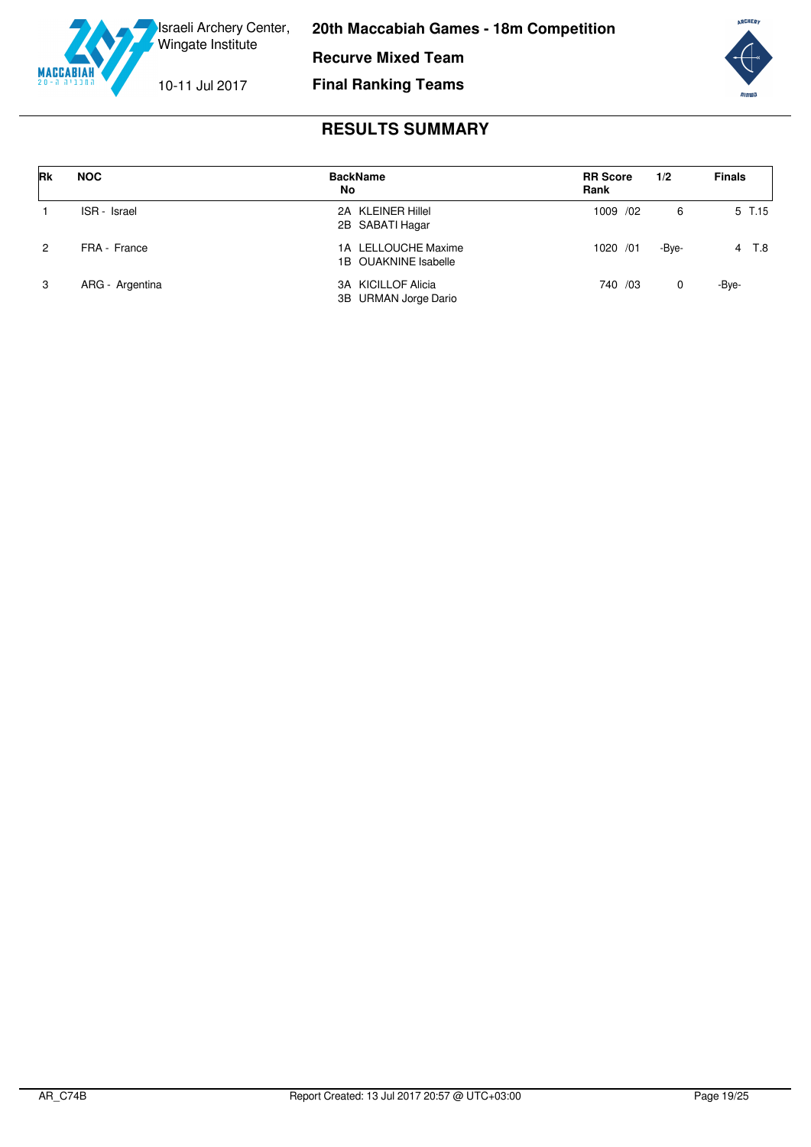

**Recurve Mixed Team**

10-11 Jul 2017

**Final Ranking Teams**



<span id="page-19-0"></span>

| <b>Rk</b> | <b>NOC</b>      | <b>BackName</b><br>No                             | <b>RR Score</b><br>Rank | 1/2   | <b>Finals</b> |
|-----------|-----------------|---------------------------------------------------|-------------------------|-------|---------------|
|           | ISR - Israel    | 2A KLEINER Hillel<br>2B SABATI Hagar              | 1009 /02                | 6     | 5 T.15        |
| 2         | FRA - France    | 1A LELLOUCHE Maxime<br>1B OUAKNINE Isabelle       | 1020 /01                | -Bye- | 4 T.8         |
| 3         | ARG - Argentina | <b>3A KICILLOF Alicia</b><br>3B URMAN Jorge Dario | 740 /03                 | 0     | -Bye-         |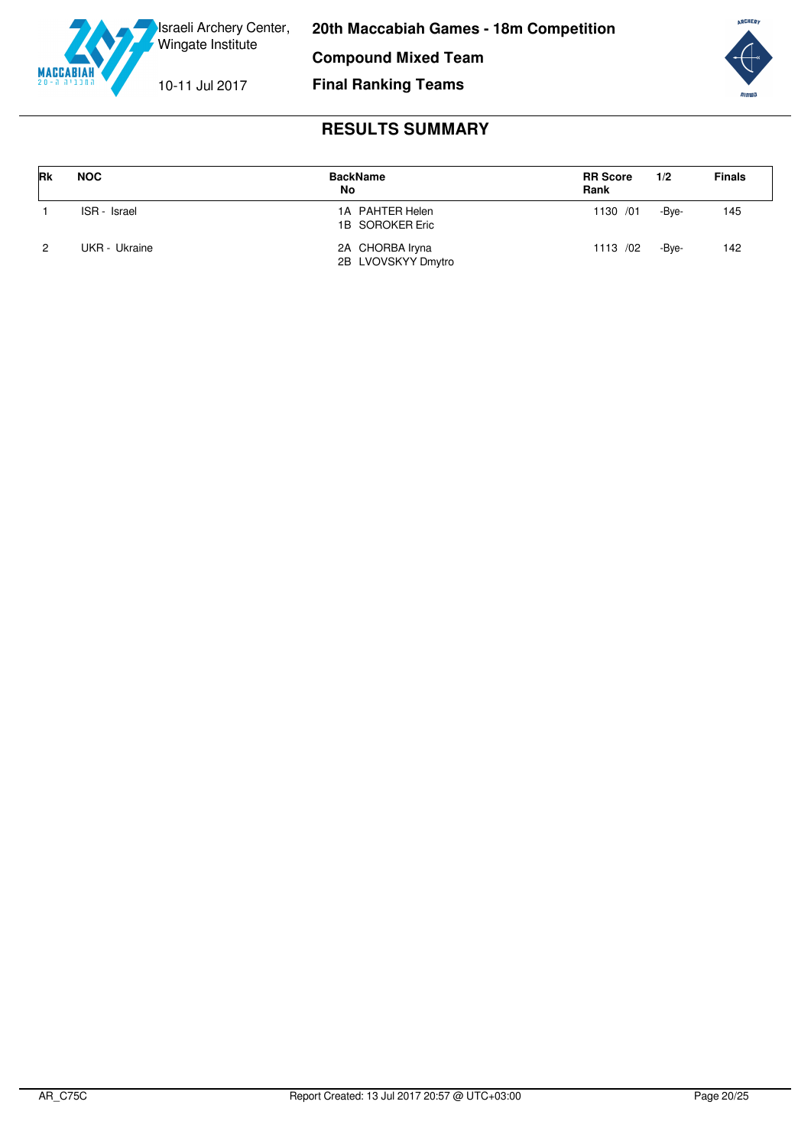



# **RESULTS SUMMARY**

**Final Ranking Teams**

<span id="page-20-0"></span>

| Rk | <b>NOC</b>    | <b>BackName</b><br>No                 | <b>RR Score</b><br>Rank | 1/2   | <b>Finals</b> |
|----|---------------|---------------------------------------|-------------------------|-------|---------------|
|    | ISR - Israel  | 1A PAHTER Helen<br>1B SOROKER Eric    | 1130 /01                | -Bve- | 145           |
| 2  | UKR - Ukraine | 2A CHORBA Iryna<br>2B LVOVSKYY Dmytro | 1113 /02                | -Bve- | 142           |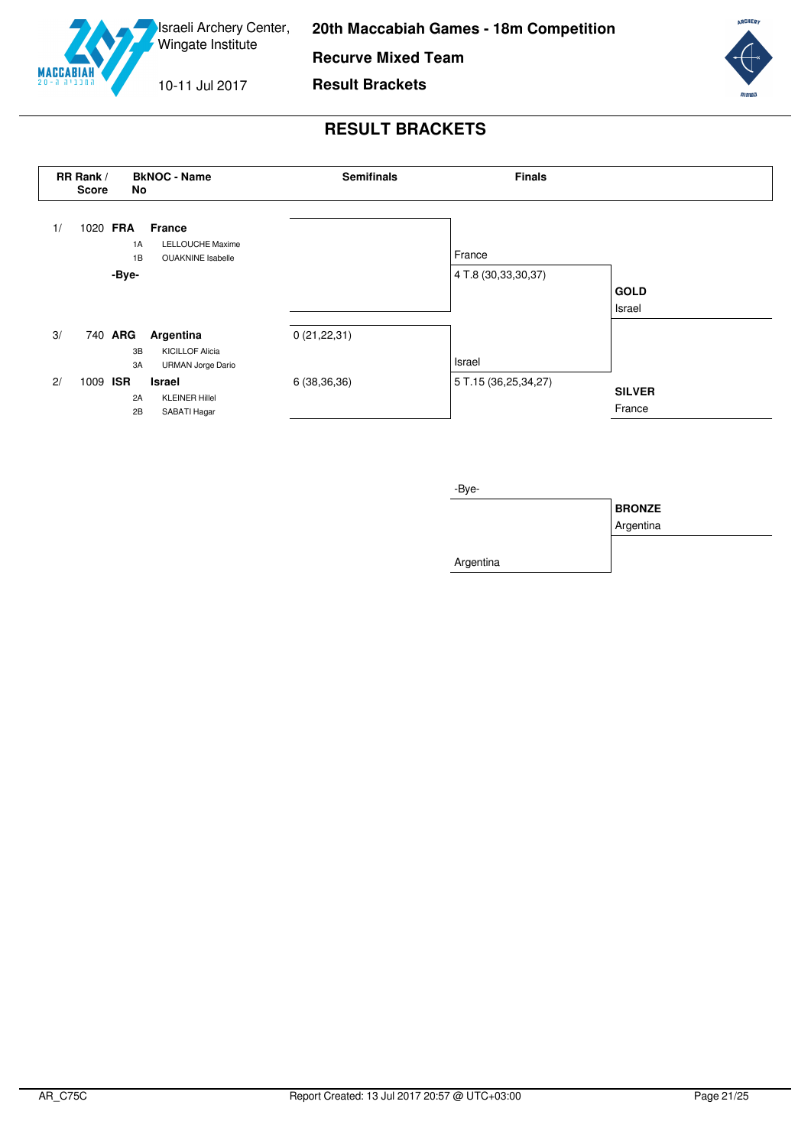

**Recurve Mixed Team Result Brackets**

10-11 Jul 2017

**ARCHERY** 

### **RESULT BRACKETS**

<span id="page-21-0"></span>

-Bye-Argentina **BRONZE** Argentina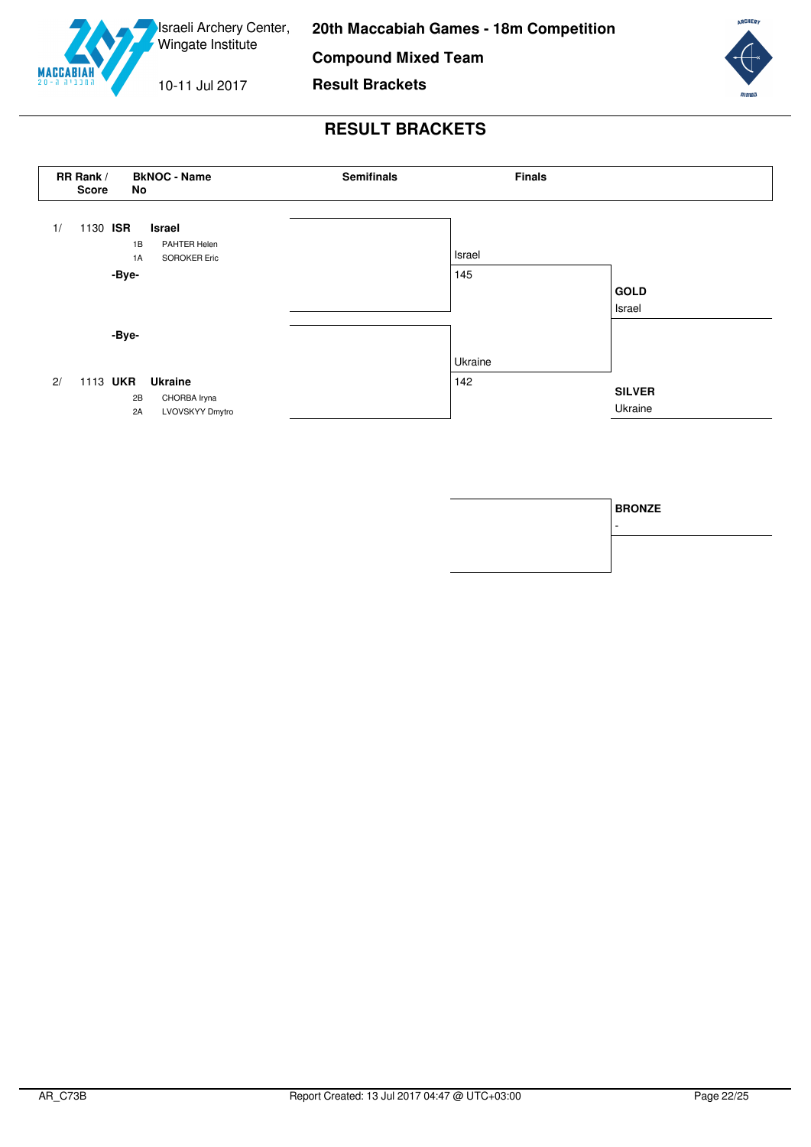![](_page_22_Picture_0.jpeg)

**Compound Mixed Team**

10-11 Jul 2017

**Result Brackets**

![](_page_22_Picture_6.jpeg)

<span id="page-22-0"></span>![](_page_22_Figure_8.jpeg)

![](_page_22_Figure_9.jpeg)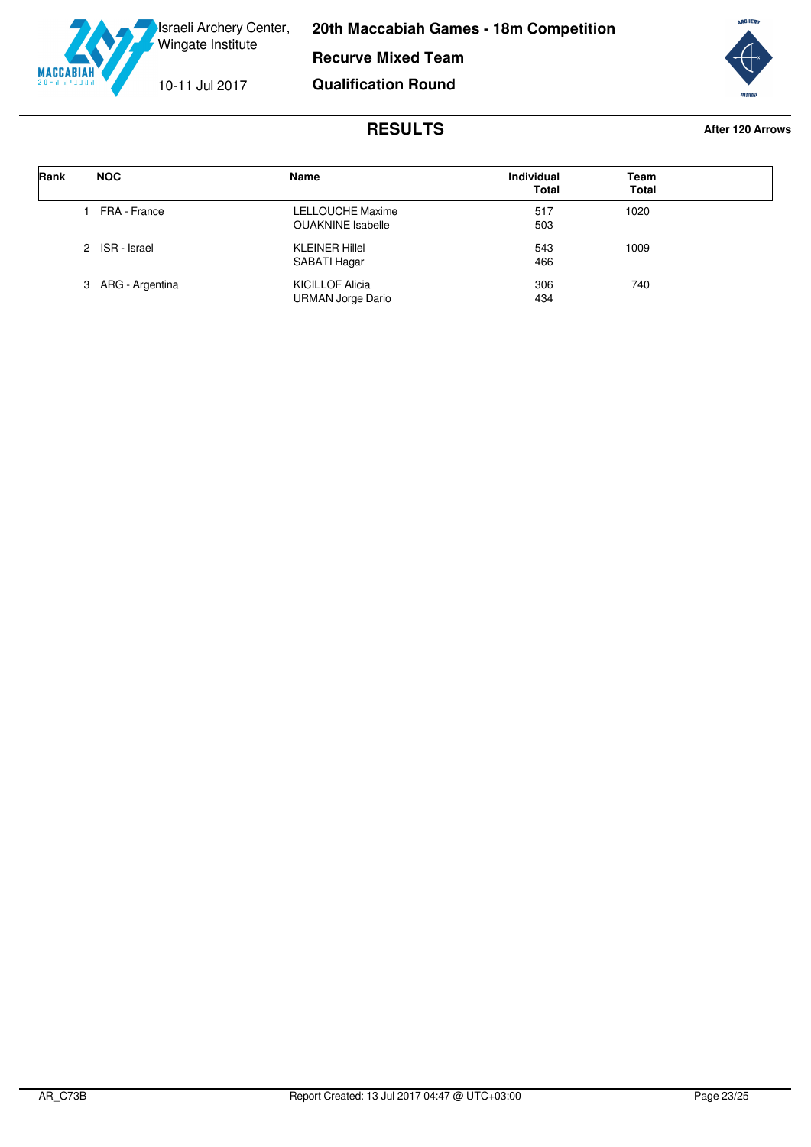![](_page_23_Picture_0.jpeg)

![](_page_23_Picture_3.jpeg)

<span id="page-23-0"></span>

| Rank | <b>NOC</b>        | Name                                               | <b>Individual</b><br>Total | Team<br><b>Total</b> |  |
|------|-------------------|----------------------------------------------------|----------------------------|----------------------|--|
|      | FRA - France      | LELLOUCHE Maxime<br><b>OUAKNINE</b> Isabelle       | 517<br>503                 | 1020                 |  |
|      | 2 ISR - Israel    | <b>KLEINER Hillel</b><br>SABATI Hagar              | 543<br>466                 | 1009                 |  |
|      | 3 ARG - Argentina | <b>KICILLOF Alicia</b><br><b>URMAN Jorge Dario</b> | 306<br>434                 | 740                  |  |